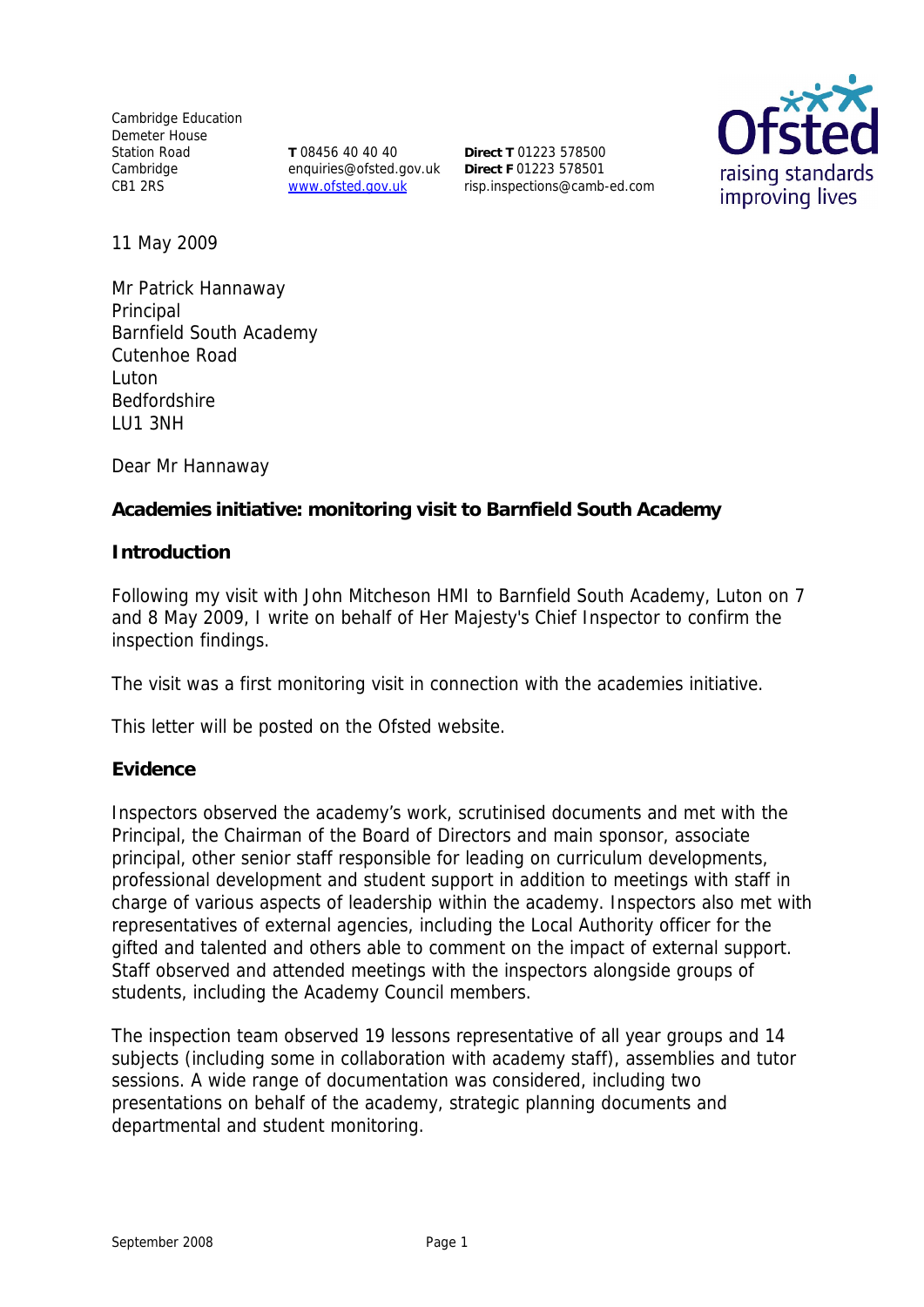Cambridge Education Demeter House Station Road Cambridge CB1 2RS

**T** 08456 40 40 40 enquiries@ofsted.gov.uk www.ofsted.gov.uk

**Direct T** 01223 578500 **Direct F** 01223 578501 risp.inspections@camb-ed.com



11 May 2009

Mr Patrick Hannaway Principal Barnfield South Academy Cutenhoe Road Luton Bedfordshire LU1 3NH

Dear Mr Hannaway

**Academies initiative: monitoring visit to Barnfield South Academy** 

**Introduction**

Following my visit with John Mitcheson HMI to Barnfield South Academy, Luton on 7 and 8 May 2009, I write on behalf of Her Majesty's Chief Inspector to confirm the inspection findings.

The visit was a first monitoring visit in connection with the academies initiative.

This letter will be posted on the Ofsted website.

**Evidence**

Inspectors observed the academy's work, scrutinised documents and met with the Principal, the Chairman of the Board of Directors and main sponsor, associate principal, other senior staff responsible for leading on curriculum developments, professional development and student support in addition to meetings with staff in charge of various aspects of leadership within the academy. Inspectors also met with representatives of external agencies, including the Local Authority officer for the gifted and talented and others able to comment on the impact of external support. Staff observed and attended meetings with the inspectors alongside groups of students, including the Academy Council members.

The inspection team observed 19 lessons representative of all year groups and 14 subjects (including some in collaboration with academy staff), assemblies and tutor sessions. A wide range of documentation was considered, including two presentations on behalf of the academy, strategic planning documents and departmental and student monitoring.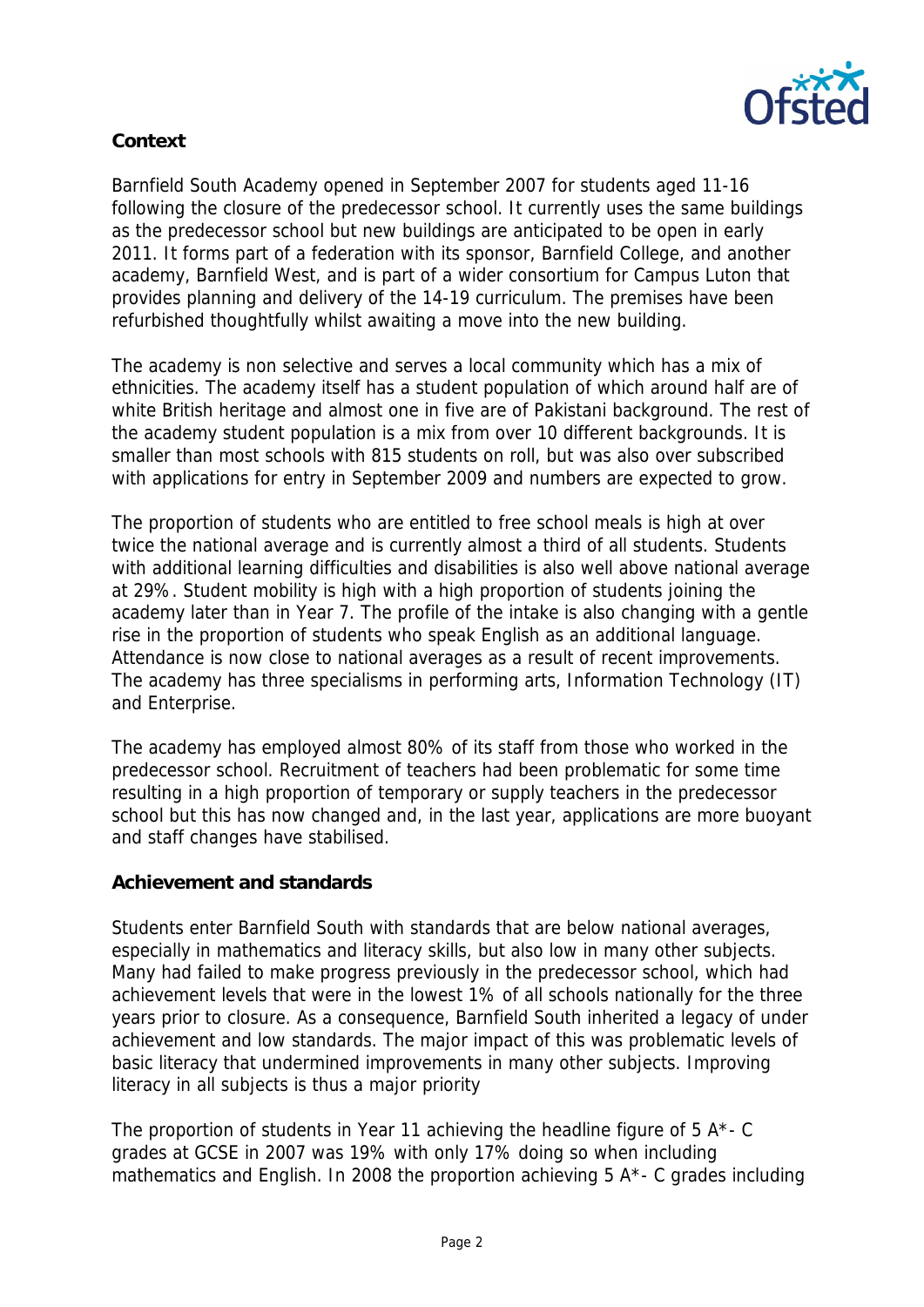

# **Context**

Barnfield South Academy opened in September 2007 for students aged 11-16 following the closure of the predecessor school. It currently uses the same buildings as the predecessor school but new buildings are anticipated to be open in early 2011. It forms part of a federation with its sponsor, Barnfield College, and another academy, Barnfield West, and is part of a wider consortium for Campus Luton that provides planning and delivery of the 14-19 curriculum. The premises have been refurbished thoughtfully whilst awaiting a move into the new building.

The academy is non selective and serves a local community which has a mix of ethnicities. The academy itself has a student population of which around half are of white British heritage and almost one in five are of Pakistani background. The rest of the academy student population is a mix from over 10 different backgrounds. It is smaller than most schools with 815 students on roll, but was also over subscribed with applications for entry in September 2009 and numbers are expected to grow.

The proportion of students who are entitled to free school meals is high at over twice the national average and is currently almost a third of all students. Students with additional learning difficulties and disabilities is also well above national average at 29%. Student mobility is high with a high proportion of students joining the academy later than in Year 7. The profile of the intake is also changing with a gentle rise in the proportion of students who speak English as an additional language. Attendance is now close to national averages as a result of recent improvements. The academy has three specialisms in performing arts, Information Technology (IT) and Enterprise.

The academy has employed almost 80% of its staff from those who worked in the predecessor school. Recruitment of teachers had been problematic for some time resulting in a high proportion of temporary or supply teachers in the predecessor school but this has now changed and, in the last year, applications are more buoyant and staff changes have stabilised.

#### **Achievement and standards**

Students enter Barnfield South with standards that are below national averages, especially in mathematics and literacy skills, but also low in many other subjects. Many had failed to make progress previously in the predecessor school, which had achievement levels that were in the lowest 1% of all schools nationally for the three years prior to closure. As a consequence, Barnfield South inherited a legacy of under achievement and low standards. The major impact of this was problematic levels of basic literacy that undermined improvements in many other subjects. Improving literacy in all subjects is thus a major priority

The proportion of students in Year 11 achieving the headline figure of  $5 A^*$ - C grades at GCSE in 2007 was 19% with only 17% doing so when including mathematics and English. In 2008 the proportion achieving 5 A\*- C grades including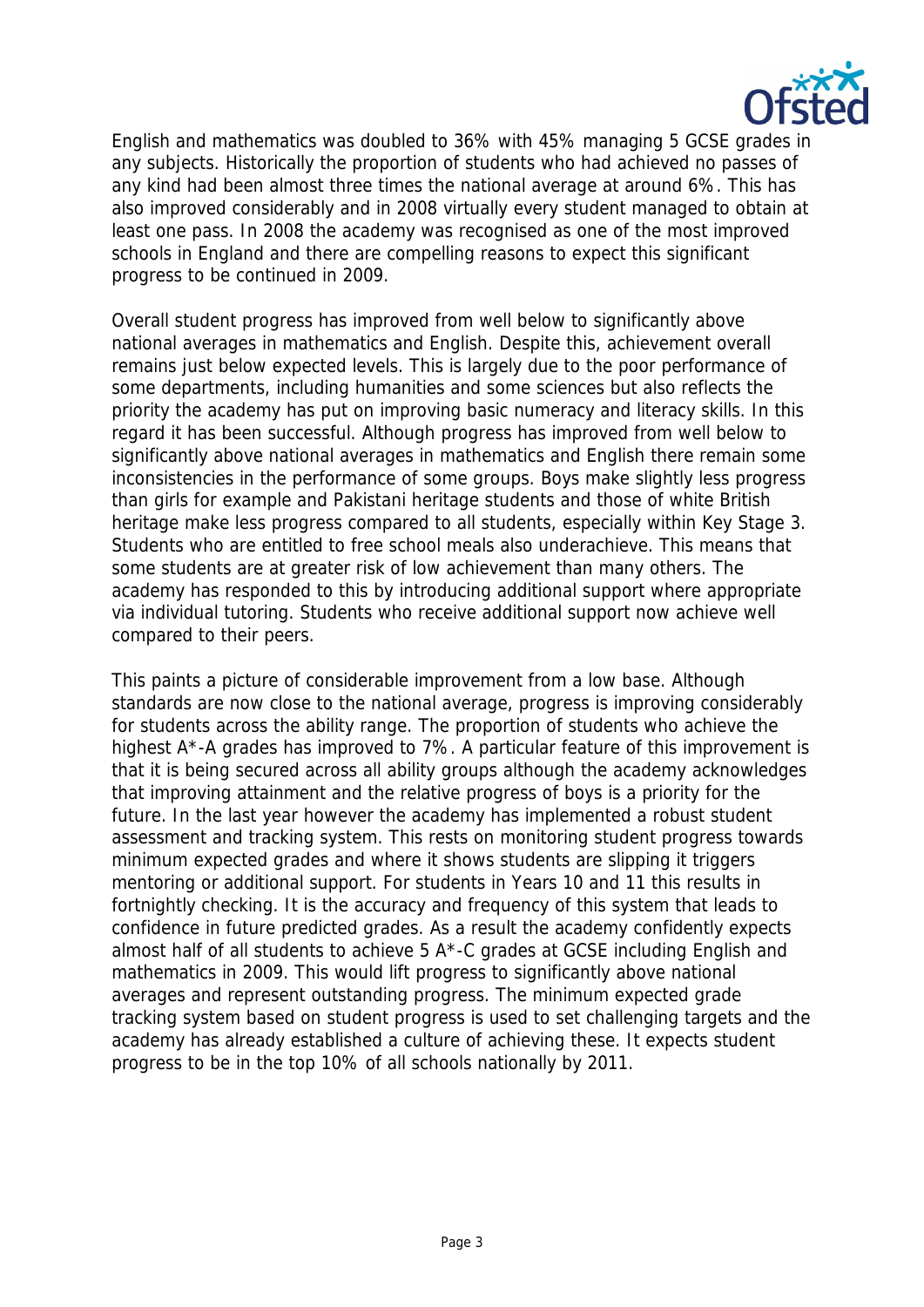

English and mathematics was doubled to 36% with 45% managing 5 GCSE grades in any subjects. Historically the proportion of students who had achieved no passes of any kind had been almost three times the national average at around 6%. This has also improved considerably and in 2008 virtually every student managed to obtain at least one pass. In 2008 the academy was recognised as one of the most improved schools in England and there are compelling reasons to expect this significant progress to be continued in 2009.

Overall student progress has improved from well below to significantly above national averages in mathematics and English. Despite this, achievement overall remains just below expected levels. This is largely due to the poor performance of some departments, including humanities and some sciences but also reflects the priority the academy has put on improving basic numeracy and literacy skills. In this regard it has been successful. Although progress has improved from well below to significantly above national averages in mathematics and English there remain some inconsistencies in the performance of some groups. Boys make slightly less progress than girls for example and Pakistani heritage students and those of white British heritage make less progress compared to all students, especially within Key Stage 3. Students who are entitled to free school meals also underachieve. This means that some students are at greater risk of low achievement than many others. The academy has responded to this by introducing additional support where appropriate via individual tutoring. Students who receive additional support now achieve well compared to their peers.

This paints a picture of considerable improvement from a low base. Although standards are now close to the national average, progress is improving considerably for students across the ability range. The proportion of students who achieve the highest A\*-A grades has improved to 7%. A particular feature of this improvement is that it is being secured across all ability groups although the academy acknowledges that improving attainment and the relative progress of boys is a priority for the future. In the last year however the academy has implemented a robust student assessment and tracking system. This rests on monitoring student progress towards minimum expected grades and where it shows students are slipping it triggers mentoring or additional support. For students in Years 10 and 11 this results in fortnightly checking. It is the accuracy and frequency of this system that leads to confidence in future predicted grades. As a result the academy confidently expects almost half of all students to achieve 5 A\*-C grades at GCSE including English and mathematics in 2009. This would lift progress to significantly above national averages and represent outstanding progress. The minimum expected grade tracking system based on student progress is used to set challenging targets and the academy has already established a culture of achieving these. It expects student progress to be in the top 10% of all schools nationally by 2011.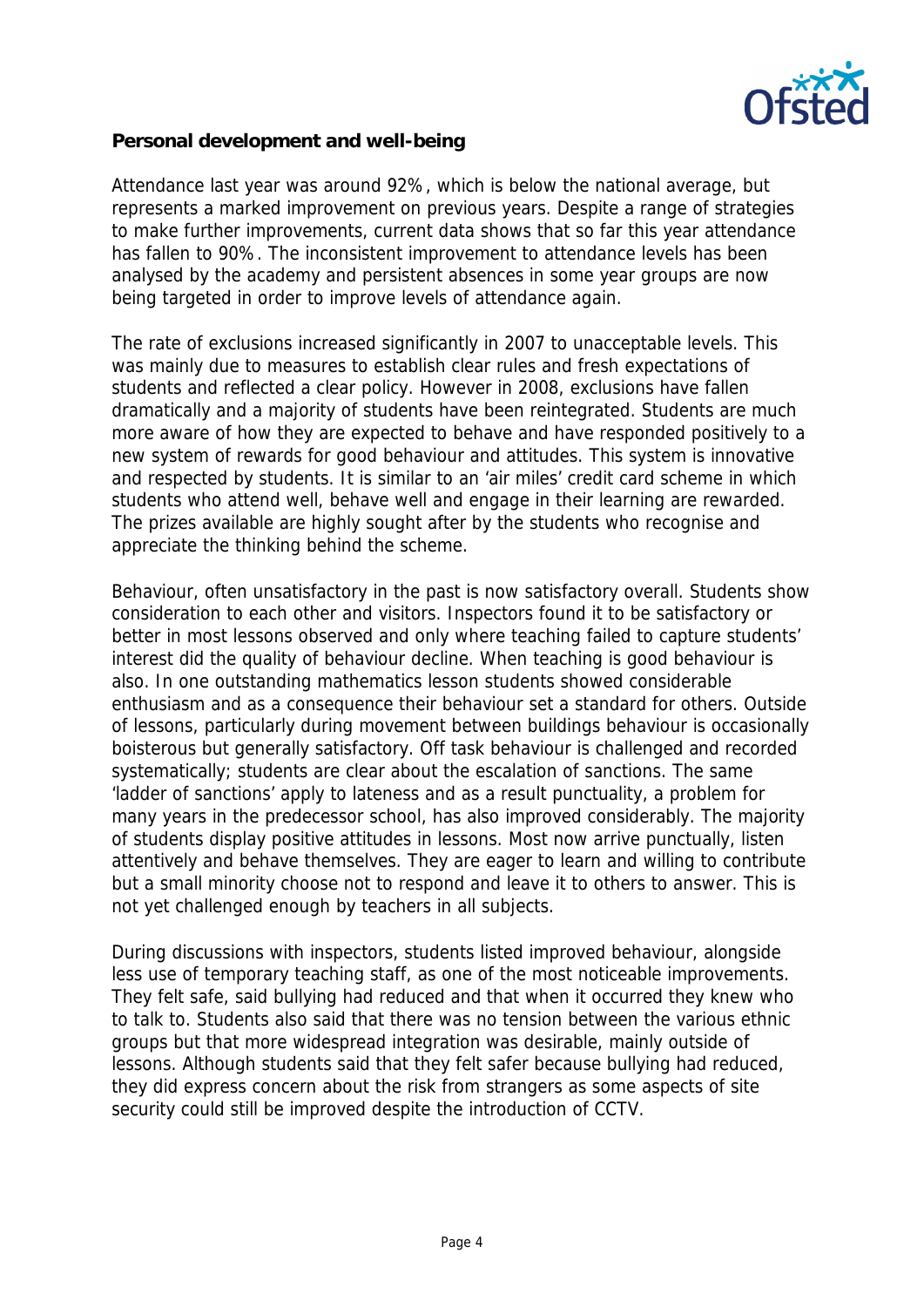

**Personal development and well-being**

Attendance last year was around 92%, which is below the national average, but represents a marked improvement on previous years. Despite a range of strategies to make further improvements, current data shows that so far this year attendance has fallen to 90%. The inconsistent improvement to attendance levels has been analysed by the academy and persistent absences in some year groups are now being targeted in order to improve levels of attendance again.

The rate of exclusions increased significantly in 2007 to unacceptable levels. This was mainly due to measures to establish clear rules and fresh expectations of students and reflected a clear policy. However in 2008, exclusions have fallen dramatically and a majority of students have been reintegrated. Students are much more aware of how they are expected to behave and have responded positively to a new system of rewards for good behaviour and attitudes. This system is innovative and respected by students. It is similar to an 'air miles' credit card scheme in which students who attend well, behave well and engage in their learning are rewarded. The prizes available are highly sought after by the students who recognise and appreciate the thinking behind the scheme.

Behaviour, often unsatisfactory in the past is now satisfactory overall. Students show consideration to each other and visitors. Inspectors found it to be satisfactory or better in most lessons observed and only where teaching failed to capture students' interest did the quality of behaviour decline. When teaching is good behaviour is also. In one outstanding mathematics lesson students showed considerable enthusiasm and as a consequence their behaviour set a standard for others. Outside of lessons, particularly during movement between buildings behaviour is occasionally boisterous but generally satisfactory. Off task behaviour is challenged and recorded systematically; students are clear about the escalation of sanctions. The same 'ladder of sanctions' apply to lateness and as a result punctuality, a problem for many years in the predecessor school, has also improved considerably. The majority of students display positive attitudes in lessons. Most now arrive punctually, listen attentively and behave themselves. They are eager to learn and willing to contribute but a small minority choose not to respond and leave it to others to answer. This is not yet challenged enough by teachers in all subjects.

During discussions with inspectors, students listed improved behaviour, alongside less use of temporary teaching staff, as one of the most noticeable improvements. They felt safe, said bullying had reduced and that when it occurred they knew who to talk to. Students also said that there was no tension between the various ethnic groups but that more widespread integration was desirable, mainly outside of lessons. Although students said that they felt safer because bullying had reduced, they did express concern about the risk from strangers as some aspects of site security could still be improved despite the introduction of CCTV.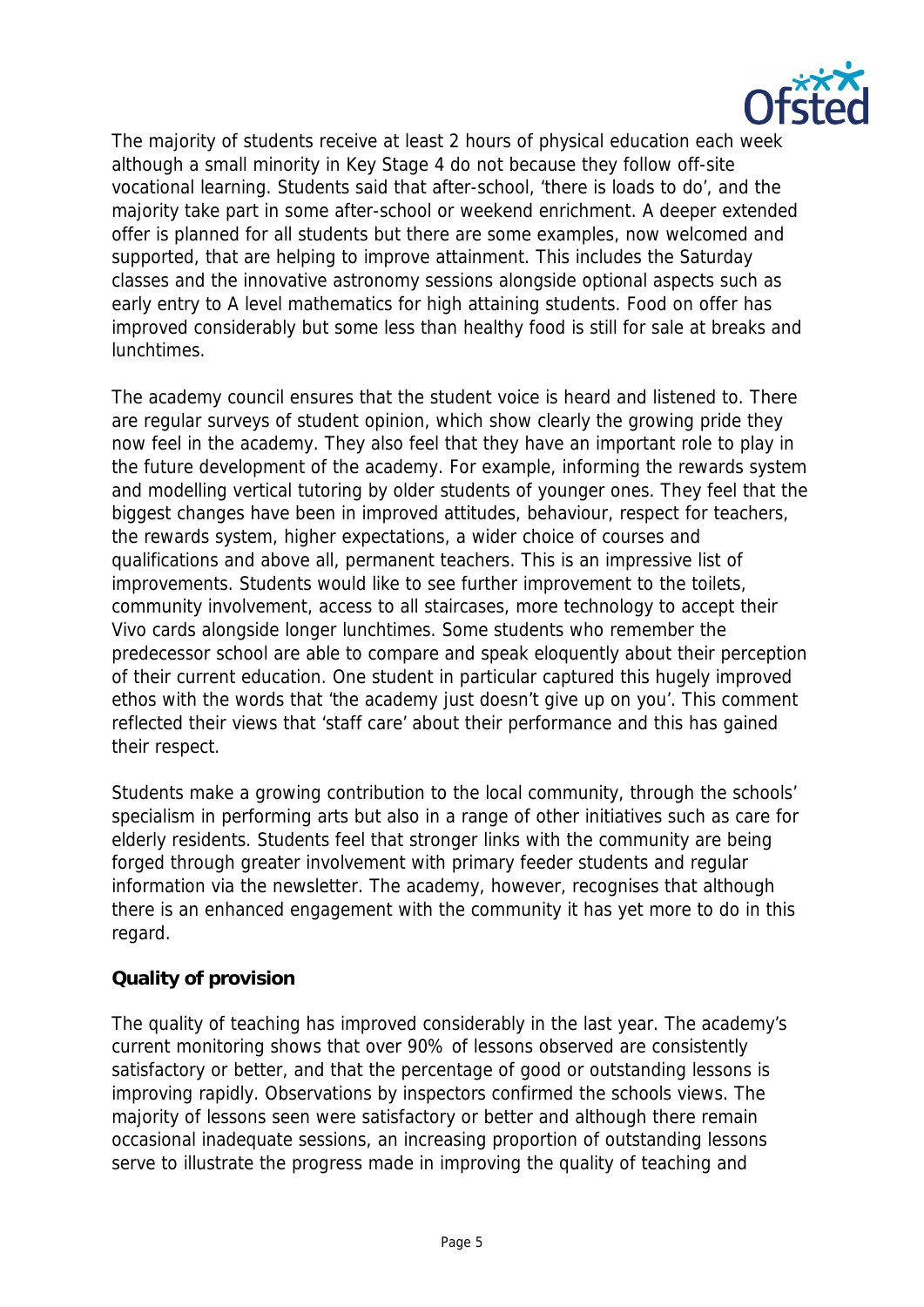

The majority of students receive at least 2 hours of physical education each week although a small minority in Key Stage 4 do not because they follow off-site vocational learning. Students said that after-school, 'there is loads to do', and the majority take part in some after-school or weekend enrichment. A deeper extended offer is planned for all students but there are some examples, now welcomed and supported, that are helping to improve attainment. This includes the Saturday classes and the innovative astronomy sessions alongside optional aspects such as early entry to A level mathematics for high attaining students. Food on offer has improved considerably but some less than healthy food is still for sale at breaks and lunchtimes.

The academy council ensures that the student voice is heard and listened to. There are regular surveys of student opinion, which show clearly the growing pride they now feel in the academy. They also feel that they have an important role to play in the future development of the academy. For example, informing the rewards system and modelling vertical tutoring by older students of younger ones. They feel that the biggest changes have been in improved attitudes, behaviour, respect for teachers, the rewards system, higher expectations, a wider choice of courses and qualifications and above all, permanent teachers. This is an impressive list of improvements. Students would like to see further improvement to the toilets, community involvement, access to all staircases, more technology to accept their Vivo cards alongside longer lunchtimes. Some students who remember the predecessor school are able to compare and speak eloquently about their perception of their current education. One student in particular captured this hugely improved ethos with the words that 'the academy just doesn't give up on you'. This comment reflected their views that 'staff care' about their performance and this has gained their respect.

Students make a growing contribution to the local community, through the schools' specialism in performing arts but also in a range of other initiatives such as care for elderly residents. Students feel that stronger links with the community are being forged through greater involvement with primary feeder students and regular information via the newsletter. The academy, however, recognises that although there is an enhanced engagement with the community it has yet more to do in this regard.

## **Quality of provision**

The quality of teaching has improved considerably in the last year. The academy's current monitoring shows that over 90% of lessons observed are consistently satisfactory or better, and that the percentage of good or outstanding lessons is improving rapidly. Observations by inspectors confirmed the schools views. The majority of lessons seen were satisfactory or better and although there remain occasional inadequate sessions, an increasing proportion of outstanding lessons serve to illustrate the progress made in improving the quality of teaching and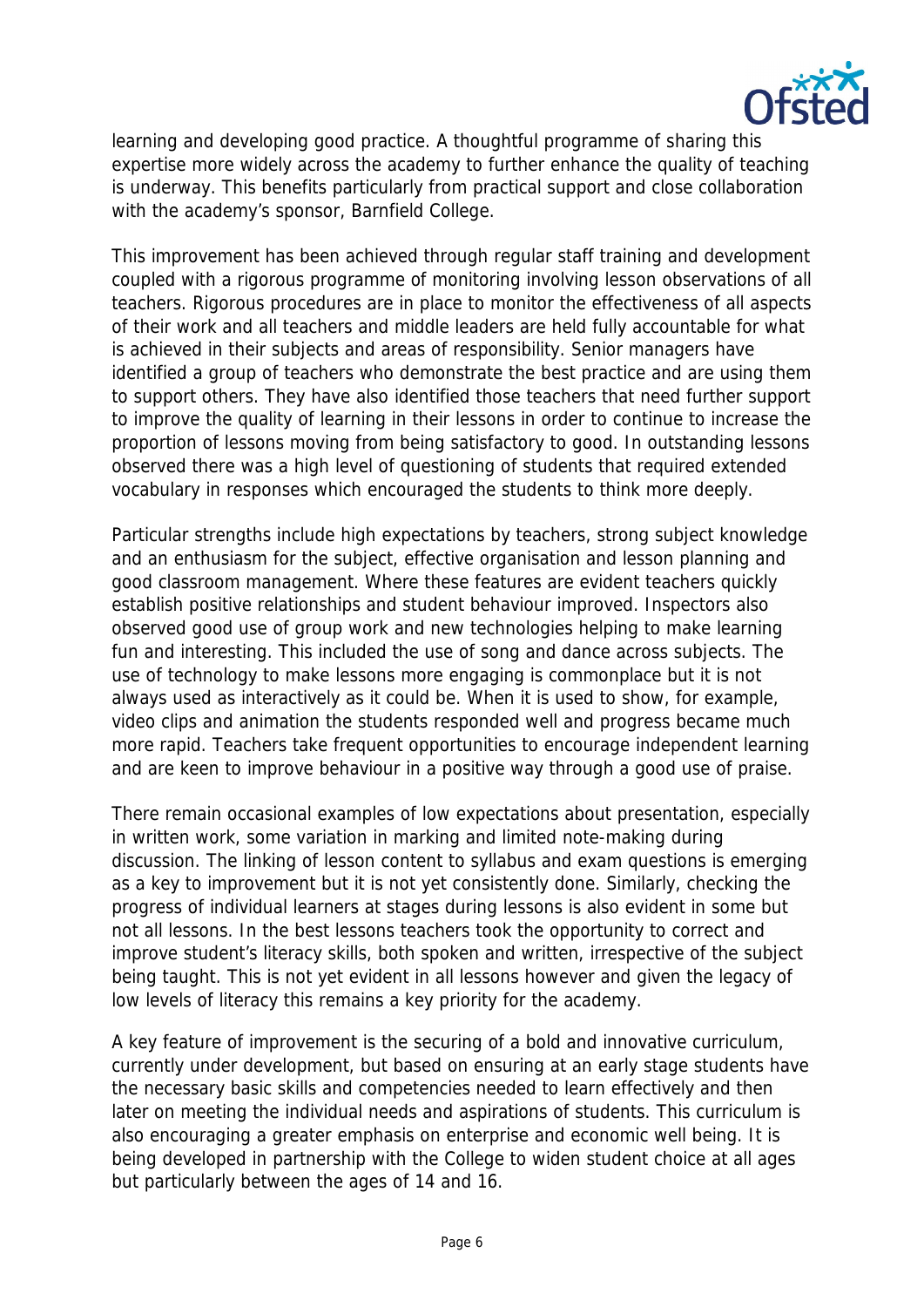

learning and developing good practice. A thoughtful programme of sharing this expertise more widely across the academy to further enhance the quality of teaching is underway. This benefits particularly from practical support and close collaboration with the academy's sponsor, Barnfield College.

This improvement has been achieved through regular staff training and development coupled with a rigorous programme of monitoring involving lesson observations of all teachers. Rigorous procedures are in place to monitor the effectiveness of all aspects of their work and all teachers and middle leaders are held fully accountable for what is achieved in their subjects and areas of responsibility. Senior managers have identified a group of teachers who demonstrate the best practice and are using them to support others. They have also identified those teachers that need further support to improve the quality of learning in their lessons in order to continue to increase the proportion of lessons moving from being satisfactory to good. In outstanding lessons observed there was a high level of questioning of students that required extended vocabulary in responses which encouraged the students to think more deeply.

Particular strengths include high expectations by teachers, strong subject knowledge and an enthusiasm for the subject, effective organisation and lesson planning and good classroom management. Where these features are evident teachers quickly establish positive relationships and student behaviour improved. Inspectors also observed good use of group work and new technologies helping to make learning fun and interesting. This included the use of song and dance across subjects. The use of technology to make lessons more engaging is commonplace but it is not always used as interactively as it could be. When it is used to show, for example, video clips and animation the students responded well and progress became much more rapid. Teachers take frequent opportunities to encourage independent learning and are keen to improve behaviour in a positive way through a good use of praise.

There remain occasional examples of low expectations about presentation, especially in written work, some variation in marking and limited note-making during discussion. The linking of lesson content to syllabus and exam questions is emerging as a key to improvement but it is not yet consistently done. Similarly, checking the progress of individual learners at stages during lessons is also evident in some but not all lessons. In the best lessons teachers took the opportunity to correct and improve student's literacy skills, both spoken and written, irrespective of the subject being taught. This is not yet evident in all lessons however and given the legacy of low levels of literacy this remains a key priority for the academy.

A key feature of improvement is the securing of a bold and innovative curriculum, currently under development, but based on ensuring at an early stage students have the necessary basic skills and competencies needed to learn effectively and then later on meeting the individual needs and aspirations of students. This curriculum is also encouraging a greater emphasis on enterprise and economic well being. It is being developed in partnership with the College to widen student choice at all ages but particularly between the ages of 14 and 16.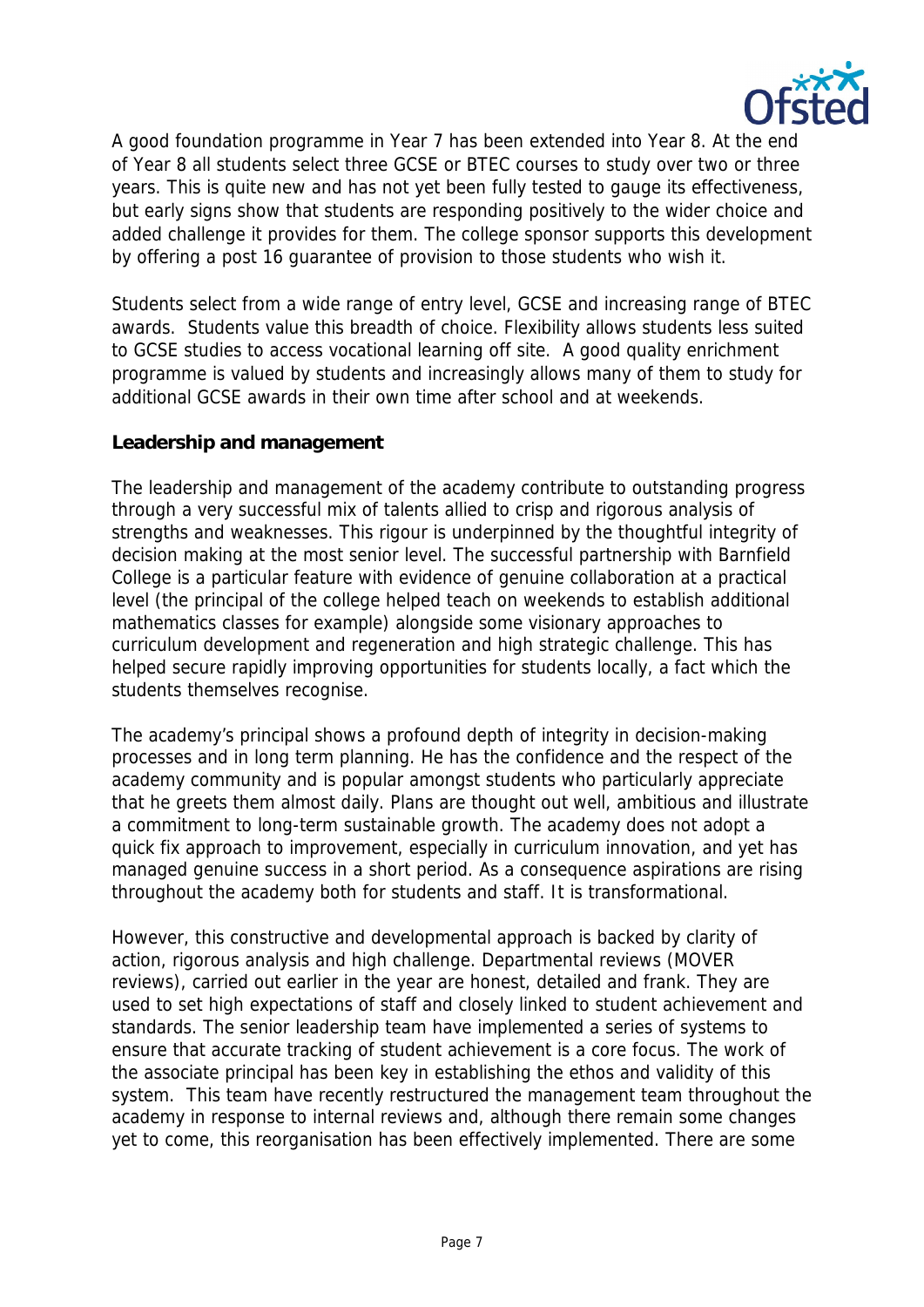

A good foundation programme in Year 7 has been extended into Year 8. At the end of Year 8 all students select three GCSE or BTEC courses to study over two or three years. This is quite new and has not yet been fully tested to gauge its effectiveness, but early signs show that students are responding positively to the wider choice and added challenge it provides for them. The college sponsor supports this development by offering a post 16 guarantee of provision to those students who wish it.

Students select from a wide range of entry level, GCSE and increasing range of BTEC awards. Students value this breadth of choice. Flexibility allows students less suited to GCSE studies to access vocational learning off site. A good quality enrichment programme is valued by students and increasingly allows many of them to study for additional GCSE awards in their own time after school and at weekends.

#### **Leadership and management**

The leadership and management of the academy contribute to outstanding progress through a very successful mix of talents allied to crisp and rigorous analysis of strengths and weaknesses. This rigour is underpinned by the thoughtful integrity of decision making at the most senior level. The successful partnership with Barnfield College is a particular feature with evidence of genuine collaboration at a practical level (the principal of the college helped teach on weekends to establish additional mathematics classes for example) alongside some visionary approaches to curriculum development and regeneration and high strategic challenge. This has helped secure rapidly improving opportunities for students locally, a fact which the students themselves recognise.

The academy's principal shows a profound depth of integrity in decision-making processes and in long term planning. He has the confidence and the respect of the academy community and is popular amongst students who particularly appreciate that he greets them almost daily. Plans are thought out well, ambitious and illustrate a commitment to long-term sustainable growth. The academy does not adopt a quick fix approach to improvement, especially in curriculum innovation, and yet has managed genuine success in a short period. As a consequence aspirations are rising throughout the academy both for students and staff. It is transformational.

However, this constructive and developmental approach is backed by clarity of action, rigorous analysis and high challenge. Departmental reviews (MOVER reviews), carried out earlier in the year are honest, detailed and frank. They are used to set high expectations of staff and closely linked to student achievement and standards. The senior leadership team have implemented a series of systems to ensure that accurate tracking of student achievement is a core focus. The work of the associate principal has been key in establishing the ethos and validity of this system. This team have recently restructured the management team throughout the academy in response to internal reviews and, although there remain some changes yet to come, this reorganisation has been effectively implemented. There are some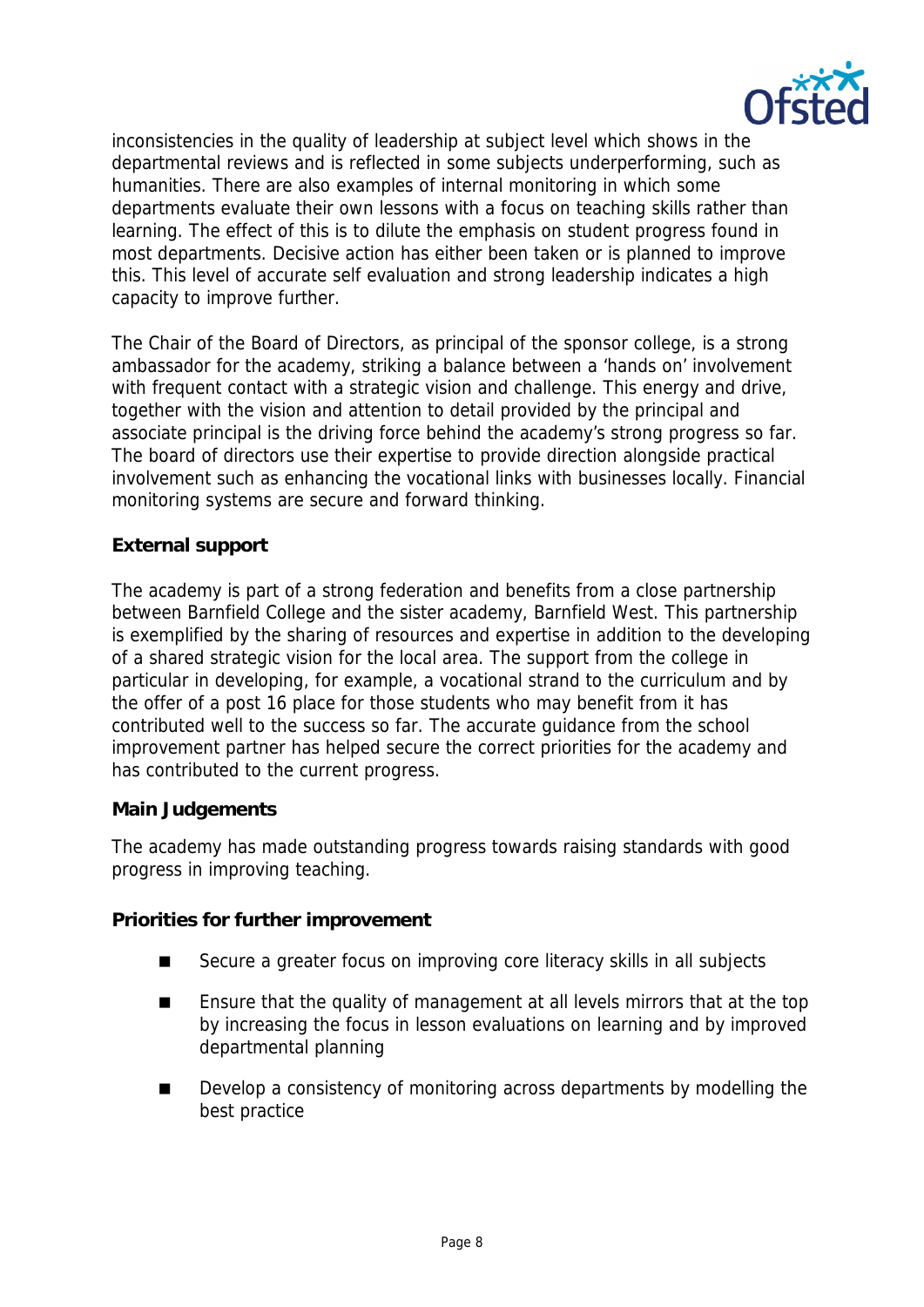

inconsistencies in the quality of leadership at subject level which shows in the departmental reviews and is reflected in some subjects underperforming, such as humanities. There are also examples of internal monitoring in which some departments evaluate their own lessons with a focus on teaching skills rather than learning. The effect of this is to dilute the emphasis on student progress found in most departments. Decisive action has either been taken or is planned to improve this. This level of accurate self evaluation and strong leadership indicates a high capacity to improve further.

The Chair of the Board of Directors, as principal of the sponsor college, is a strong ambassador for the academy, striking a balance between a 'hands on' involvement with frequent contact with a strategic vision and challenge. This energy and drive, together with the vision and attention to detail provided by the principal and associate principal is the driving force behind the academy's strong progress so far. The board of directors use their expertise to provide direction alongside practical involvement such as enhancing the vocational links with businesses locally. Financial monitoring systems are secure and forward thinking.

### **External support**

The academy is part of a strong federation and benefits from a close partnership between Barnfield College and the sister academy, Barnfield West. This partnership is exemplified by the sharing of resources and expertise in addition to the developing of a shared strategic vision for the local area. The support from the college in particular in developing, for example, a vocational strand to the curriculum and by the offer of a post 16 place for those students who may benefit from it has contributed well to the success so far. The accurate guidance from the school improvement partner has helped secure the correct priorities for the academy and has contributed to the current progress.

#### **Main Judgements**

The academy has made outstanding progress towards raising standards with good progress in improving teaching.

**Priorities for further improvement**

- Secure a greater focus on improving core literacy skills in all subjects
- **E** Ensure that the quality of management at all levels mirrors that at the top by increasing the focus in lesson evaluations on learning and by improved departmental planning
- Develop a consistency of monitoring across departments by modelling the best practice